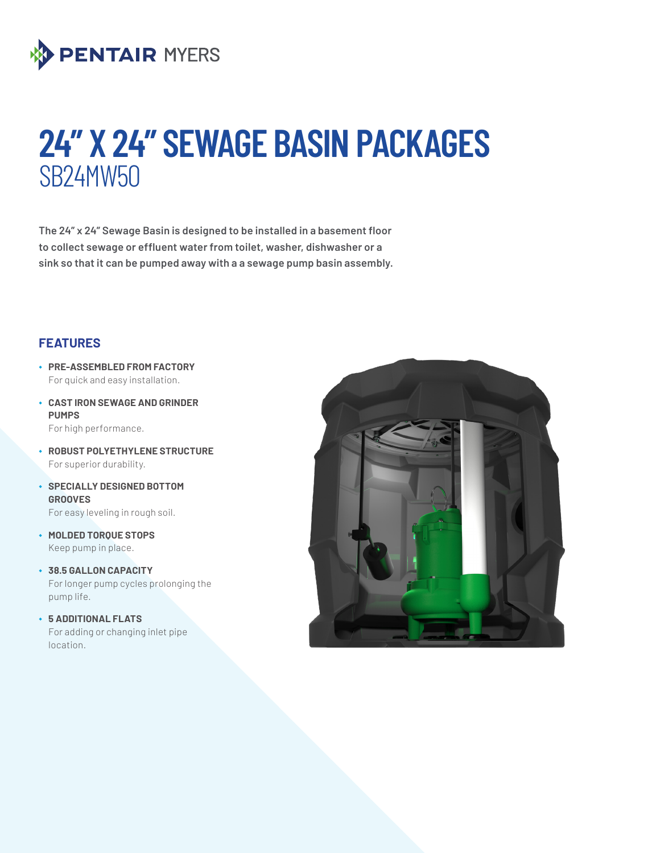

# **24" X 24" SEWAGE BASIN PACKAGES** SB24MW50

**The 24" x 24" Sewage Basin is designed to be installed in a basement floor to collect sewage or effluent water from toilet, washer, dishwasher or a sink so that it can be pumped away with a a sewage pump basin assembly.**

### **FEATURES**

- ◆ **PRE-ASSEMBLED FROM FACTORY** For quick and easy installation.
- ◆ **CAST IRON SEWAGE AND GRINDER PUMPS**

For high performance.

- ◆ **ROBUST POLYETHYLENE STRUCTURE**  For superior durability.
- ◆ **SPECIALLY DESIGNED BOTTOM GROOVES** For easy leveling in rough soil.
- ◆ **MOLDED TORQUE STOPS** Keep pump in place.
- ◆ **38.5 GALLON CAPACITY** For longer pump cycles prolonging the pump life.
- ◆ **5 ADDITIONAL FLATS** For adding or changing inlet pipe location.